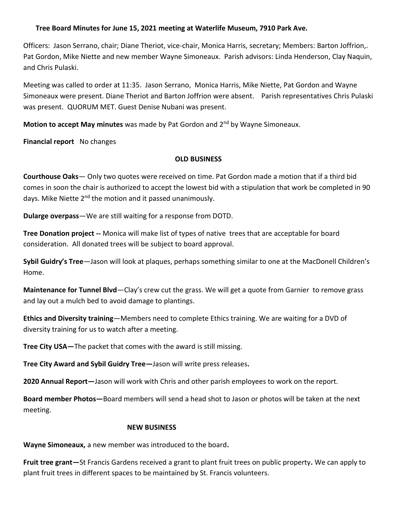## **Tree Board Minutes for June 15, 2021 meeting at Waterlife Museum, 7910 Park Ave.**

Officers: Jason Serrano, chair; Diane Theriot, vice-chair, Monica Harris, secretary; Members: Barton Joffrion,. Pat Gordon, Mike Niette and new member Wayne Simoneaux. Parish advisors: Linda Henderson, Clay Naquin, and Chris Pulaski.

Meeting was called to order at 11:35. Jason Serrano, Monica Harris, Mike Niette, Pat Gordon and Wayne Simoneaux were present. Diane Theriot and Barton Joffrion were absent. Parish representatives Chris Pulaski was present. QUORUM MET. Guest Denise Nubani was present.

**Motion to accept May minutes** was made by Pat Gordon and 2<sup>nd</sup> by Wayne Simoneaux.

**Financial report** No changes

## **OLD BUSINESS**

**Courthouse Oaks**— Only two quotes were received on time. Pat Gordon made a motion that if a third bid comes in soon the chair is authorized to accept the lowest bid with a stipulation that work be completed in 90 days. Mike Niette 2<sup>nd</sup> the motion and it passed unanimously.

**Dularge overpass**—We are still waiting for a response from DOTD.

**Tree Donation project --** Monica will make list of types of native trees that are acceptable for board consideration. All donated trees will be subject to board approval.

**Sybil Guidry's Tree**—Jason will look at plaques, perhaps something similar to one at the MacDonell Children's Home.

**Maintenance for Tunnel Blvd**—Clay's crew cut the grass. We will get a quote from Garnier to remove grass and lay out a mulch bed to avoid damage to plantings.

**Ethics and Diversity training**—Members need to complete Ethics training. We are waiting for a DVD of diversity training for us to watch after a meeting.

**Tree City USA—**The packet that comes with the award is still missing.

**Tree City Award and Sybil Guidry Tree—**Jason will write press releases**.**

**2020 Annual Report—**Jason will work with Chris and other parish employees to work on the report.

**Board member Photos—**Board members will send a head shot to Jason or photos will be taken at the next meeting.

## **NEW BUSINESS**

**Wayne Simoneaux,** a new member was introduced to the board**.**

**Fruit tree grant—**St Francis Gardens received a grant to plant fruit trees on public property**.** We can apply to plant fruit trees in different spaces to be maintained by St. Francis volunteers.